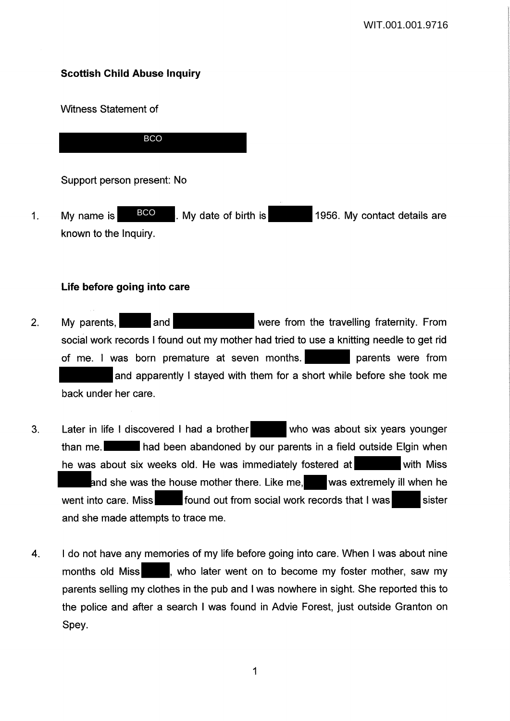# **Scottish Child Abuse Inquiry**

Witness Statement of

BCO

Support person present: No

1. My name is  $\begin{array}{c|c} \text{BCO} \end{array}$ . My date of birth is 1956. My contact details are known to the Inquiry. BCO

# **Life before going into care**

- 2. My parents, and and were from the travelling fraternity. From social work records I found out my mother had tried to use a knitting needle to get rid of me. I was born premature at seven months. parents were from and apparently I stayed with them for a short while before she took me back under her care.
- 3. Later in life I discovered I had a brother who was about six years younger than me. **had been abandoned by our parents in a field outside Elgin when** he was about six weeks old. He was immediately fostered at with Miss and she was the house mother there. Like me, was extremely ill when he went into care. Miss found out from social work records that I was sister and she made attempts to trace me.
- 4. I do not have any memories of my life before going into care. When I was about nine months old Miss , who later went on to become my foster mother, saw my parents selling my clothes in the pub and I was nowhere in sight. She reported this to the police and after a search I was found in Advie Forest, just outside Granton on Spey.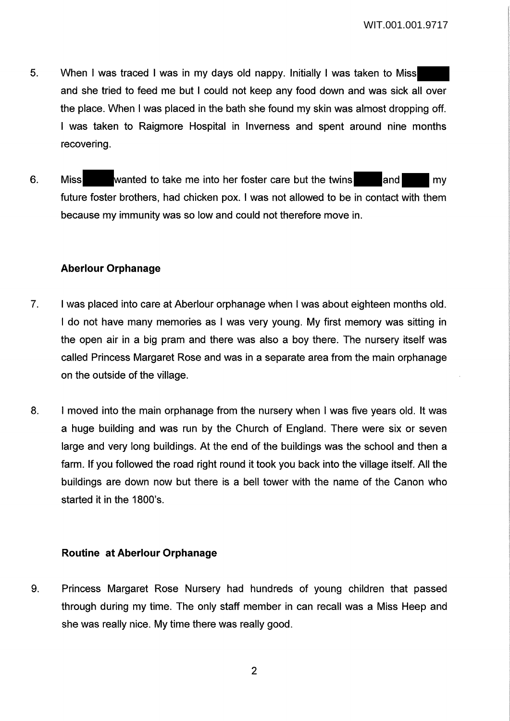- 5. When I was traced I was in my days old nappy. Initially I was taken to Miss and she tried to feed me but I could not keep any food down and was sick all over the place. When I was placed in the bath she found my skin was almost dropping off. I was taken to Raigmore Hospital in Inverness and spent around nine months recovering.
- 6. Miss wanted to take me into her foster care but the twins and my future foster brothers, had chicken pox. I was not allowed to be in contact with them because my immunity was so low and could not therefore move in.

# **Aberlour Orphanage**

- 7. I was placed into care at Aberlour orphanage when I was about eighteen months old. I do not have many memories as I was very young. My first memory was sitting in the open air in a big pram and there was also a boy there. The nursery itself was called Princess Margaret Rose and was in a separate area from the main orphanage on the outside of the village.
- 8. I moved into the main orphanage from the nursery when I was five years old. It was a huge building and was run by the Church of England. There were six or seven large and very long buildings. At the end of the buildings was the school and then a farm. If you followed the road right round it took you back into the village itself. All the buildings are down now but there is a bell tower with the name of the Canon who started it in the 1800's.

# **Routine at Aberlour Orphanage**

9. Princess Margaret Rose Nursery had hundreds of young children that passed through during my time. The only staff member in can recall was a Miss Heep and she was really nice. My time there was really good.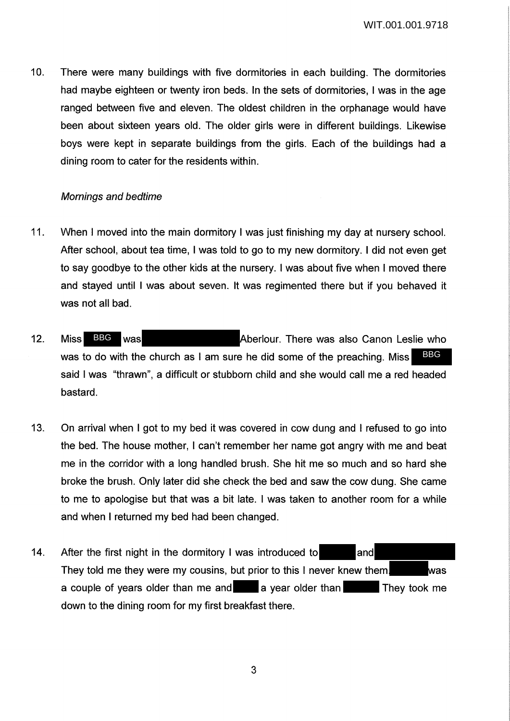10. There were many buildings with five dormitories in each building. The dormitories had maybe eighteen or twenty iron beds. In the sets of dormitories, I was in the age ranged between five and eleven. The oldest children in the orphanage would have been about sixteen years old. The older girls were in different buildings. Likewise boys were kept in separate buildings from the girls. Each of the buildings had a dining room to cater for the residents within.

## Mornings and bedtime

- 11. When I moved into the main dormitory I was just finishing my day at nursery school. After school, about tea time, I was told to go to my new dormitory. I did not even get to say goodbye to the other kids at the nursery. I was about five when I moved there and stayed until I was about seven. It was regimented there but if you behaved it was not all bad.
- 12. Miss BBG was **Aberlour.** There was also Canon Leslie who was to do with the church as I am sure he did some of the preaching. Miss said I was "thrawn", a difficult or stubborn child and she would call me a red headed bastard. BBG Miss BBG was
- 13. On arrival when I got to my bed it was covered in cow dung and I refused to go into the bed. The house mother, I can't remember her name got angry with me and beat me in the corridor with a long handled brush. She hit me so much and so hard she broke the brush. Only later did she check the bed and saw the cow dung. She came to me to apologise but that was a bit late. I was taken to another room for a while and when I returned my bed had been changed.
- 14. After the first night in the dormitory I was introduced to and They told me they were my cousins, but prior to this I never knew them. was a couple of years older than me and a vear older than They took me down to the dining room for my first breakfast there.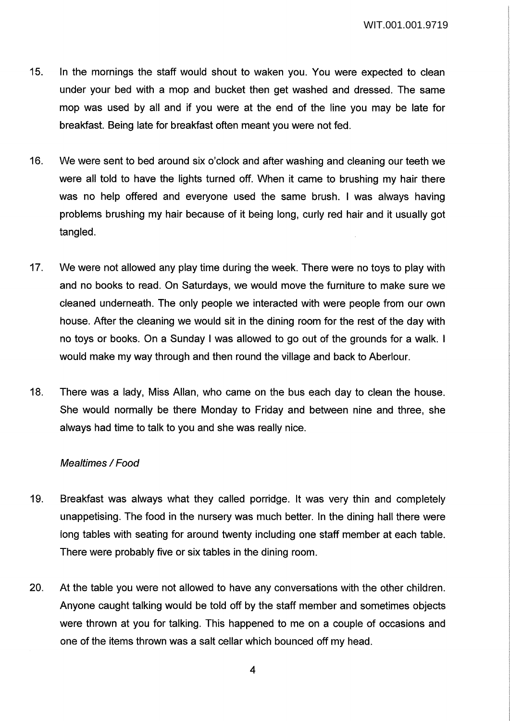WIT.001.001.9719

- 15. In the mornings the staff would shout to waken you. You were expected to clean under your bed with a mop and bucket then get washed and dressed. The same mop was used by all and if you were at the end of the line you may be late for breakfast. Being late for breakfast often meant you were not fed.
- 16. We were sent to bed around six o'clock and after washing and cleaning our teeth we were all told to have the lights turned off. When it came to brushing my hair there was no help offered and everyone used the same brush. I was always having problems brushing my hair because of it being long, curly red hair and it usually got tangled.
- 17. We were not allowed any play time during the week. There were no toys to play with and no books to read. On Saturdays, we would move the furniture to make sure we cleaned underneath. The only people we interacted with were people from our own house. After the cleaning we would sit in the dining room for the rest of the day with no toys or books. On a Sunday I was allowed to go out of the grounds for a walk. I would make my way through and then round the village and back to Aberlour.
- 18. There was a lady, Miss Allan, who came on the bus each day to clean the house. She would normally be there Monday to Friday and between nine and three, she always had time to talk to you and she was really nice.

### Mealtimes / Food

- 19. Breakfast was always what they called porridge. It was very thin and completely unappetising. The food in the nursery was much better. In the dining hall there were long tables with seating for around twenty including one staff member at each table. There were probably five or six tables in the dining room.
- 20. At the table you were not allowed to have any conversations with the other children. Anyone caught talking would be told off by the staff member and sometimes objects were thrown at you for talking. This happened to me on a couple of occasions and one of the items thrown was a salt cellar which bounced off my head.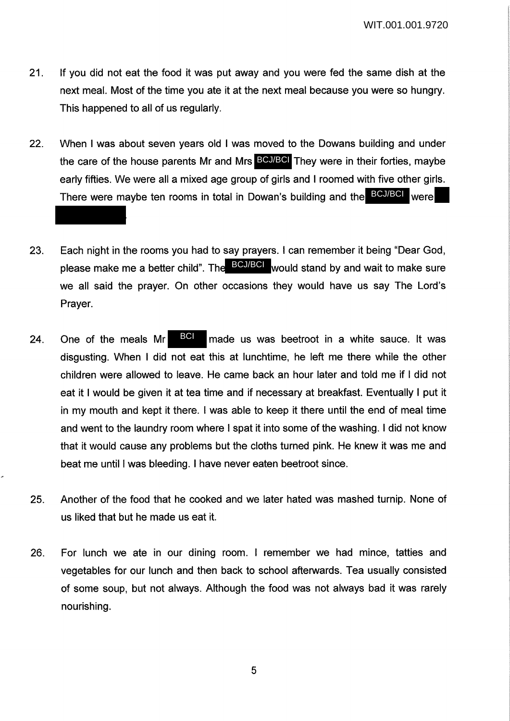- 21. If you did not eat the food it was put away and you were fed the same dish at the next meal. Most of the time you ate it at the next meal because you were so hungry. This happened to all of us regularly.
- 22. When I was about seven years old I was moved to the Dowans building and under the care of the house parents Mr and Mrs BCJ/BCI They were in their forties, maybe early fifties. We were all a mixed age group of girls and I roomed with five other girls. There were maybe ten rooms in total in Dowan's building and the BCJ/BCI were
- 23. Each night in the rooms you had to say prayers. I can remember it being "Dear God, please make me a better child". The ECJ/BCI would stand by and wait to make sure we all said the prayer. On other occasions they would have us say The Lord's Prayer.
- 24. One of the meals Mr  $\frac{1201}{1000}$  made us was beetroot in a white sauce. It was disgusting. When I did not eat this at lunchtime, he left me there while the other children were allowed to leave. He came back an hour later and told me if I did not eat it I would be given it at tea time and if necessary at breakfast. Eventually I put it in my mouth and kept it there. I was able to keep it there until the end of meal time and went to the laundry room where I spat it into some of the washing. I did not know that it would cause any problems but the cloths turned pink. He knew it was me and beat me until I was bleeding. I have never eaten beetroot since. One of the meals Mr BCI
- 25. Another of the food that he cooked and we later hated was mashed turnip. None of us liked that but he made us eat it.
- 26. For lunch we ate in our dining room. I remember we had mince, tatties and vegetables for our lunch and then back to school afterwards. Tea usually consisted of some soup, but not always. Although the food was not always bad it was rarely nourishing.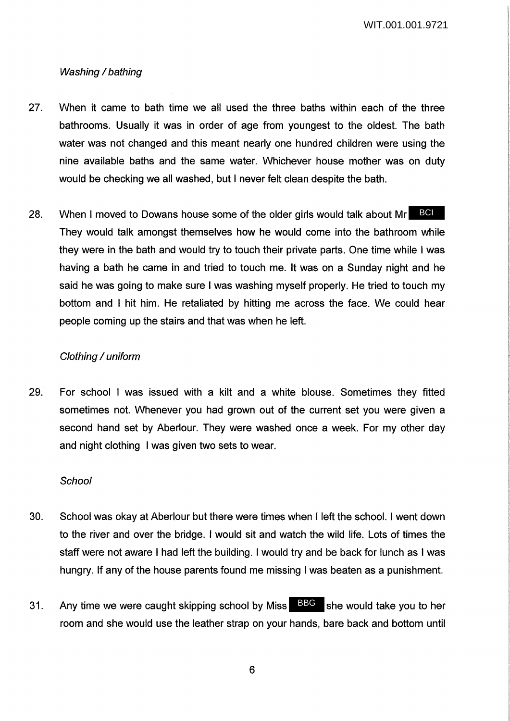WIT.001.001.9721

# Washing / bathing

- 27. When it came to bath time we all used the three baths within each of the three bathrooms. Usually it was in order of age from youngest to the oldest. The bath water was not changed and this meant nearly one hundred children were using the nine available baths and the same water. Whichever house mother was on duty would be checking we all washed, but I never felt clean despite the bath.
- 28. When I moved to Dowans house some of the older girls would talk about Mr BCI They would talk amongst themselves how he would come into the bathroom while they were in the bath and would try to touch their private parts. One time while I was having a bath he came in and tried to touch me. It was on a Sunday night and he said he was going to make sure I was washing myself properly. He tried to touch my bottom and I hit him. He retaliated by hitting me across the face. We could hear people coming up the stairs and that was when he left.

### Clothing / uniform

29. For school I was issued with a kilt and a white blouse. Sometimes they fitted sometimes not. Whenever you had grown out of the current set you were given a second hand set by Aberlour. They were washed once a week. For my other day and night clothing I was given two sets to wear.

### **School**

- 30. School was okay at Aberlour but there were times when I left the school. I went down to the river and over the bridge. I would sit and watch the wild life. Lots of times the staff were not aware I had left the building. I would try and be back for lunch as I was hungry. If any of the house parents found me missing I was beaten as a punishment.
- 31. Any time we were caught skipping school by Miss BBG she would take you to her room and she would use the leather strap on your hands, bare back and bottom until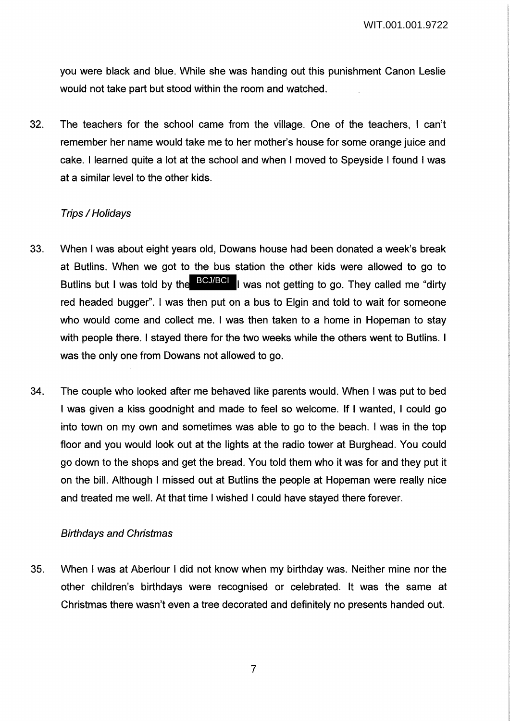you were black and blue. While she was handing out this punishment Canon Leslie would not take part but stood within the room and watched.

32. The teachers for the school came from the village. One of the teachers, I can't remember her name would take me to her mother's house for some orange juice and cake. I learned quite a lot at the school and when I moved to Speyside I found I was at a similar level to the other kids.

# **Trips / Holidavs**

- 33. When I was about eight years old, Dowans house had been donated a week's break at Butlins. When we got to the bus station the other kids were allowed to go to Butlins but I was told by the **BCJ/BCI** I was not getting to go. They called me "dirty red headed bugger". I was then put on a bus to Elgin and told to wait for someone who would come and collect me. I was then taken to a home in Hopeman to stay with people there. I stayed there for the two weeks while the others went to Butlins. I was the only one from Dowans not allowed to go.
- 34. The couple who looked after me behaved like parents would. When I was put to bed I was given a kiss goodnight and made to feel so welcome. If I wanted, I could go into town on my own and sometimes was able to go to the beach. I was in the top floor and you would look out at the lights at the radio tower at Burghead. You could go down to the shops and get the bread. You told them who it was for and they put it on the bill. Although I missed out at Butlins the people at Hopeman were really nice and treated me well. At that time I wished I could have stayed there forever.

# Birthdays and Christmas

35. When I was at Aberlour I did not know when my birthday was. Neither mine nor the other children's birthdays were recognised or celebrated. It was the same at Christmas there wasn't even a tree decorated and definitely no presents handed out.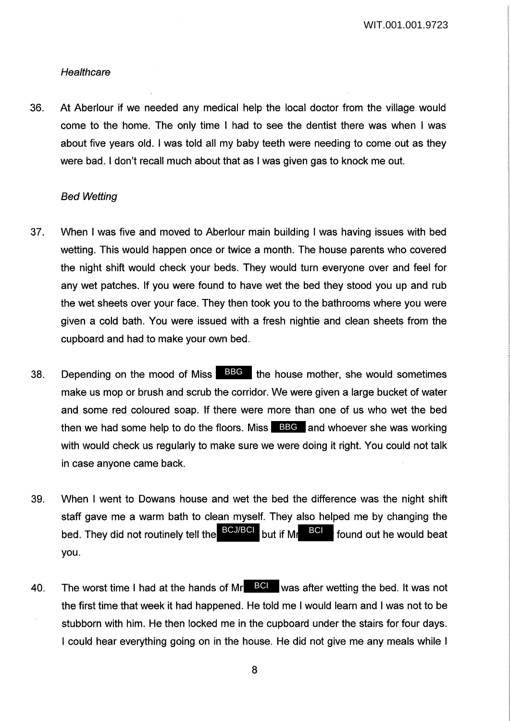WIT.001.001.9723

#### **Healthcare**

36. At Aberlour if we needed any medical help the local doctor from the village would come to the home. The only time I had to see the dentist there was when I was about five years old. I was told all my baby teeth were needing to come out as they were bad. I don't recall much about that as I was given gas to knock me out.

#### Bed Wetting

- 37. When I was five and moved to Aberlour main building I was having issues with bed wetting. This would happen once or twice a month. The house parents who covered the night shift would check your beds. They would turn everyone over and feel for any wet patches. If you were found to have wet the bed they stood you up and rub the wet sheets over your face. They then took you to the bathrooms where you were given a cold bath. You were issued with a fresh nightie and clean sheets from the cupboard and had to make your own bed.
- 38. Depending on the mood of Miss  $\Box$ BBG the house mother, she would sometimes make us mop or brush and scrub the corridor. We were given a large bucket of water and some red coloured soap. If there were more than one of us who wet the bed then we had some help to do the floors. Miss **BBG** and whoever she was working with would check us regularly to make sure we were doing it right. You could not talk in case anyone came back.
- 39. When I went to Dowans house and wet the bed the difference was the night shift staff gave me a warm bath to clean myself. They also helped me by changing the bed. They did not routinely tell the BCJ/BCI but if Mr BCI found out he would beat you.
- 40. The worst time I had at the hands of Mr $\overline{B}$  was after wetting the bed. It was not the first time that week it had happened. He told me I would learn and I was not to be stubborn with him. He then locked me in the cupboard under the stairs for four days. I could hear everything going on in the house. He did not give me any meals while I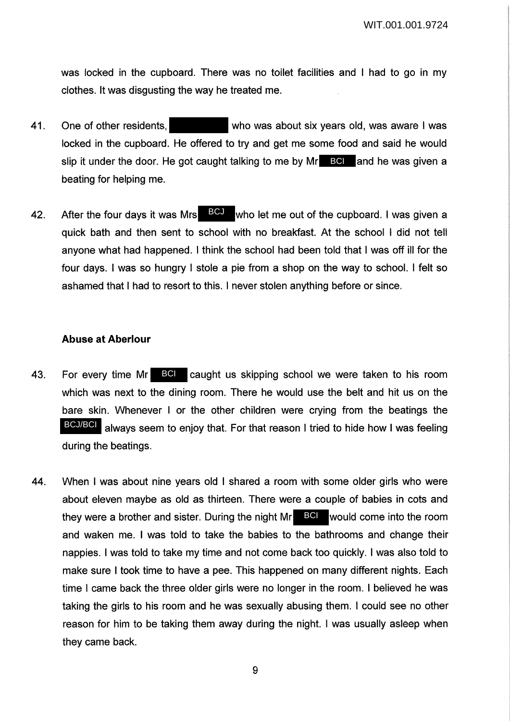was locked in the cupboard. There was no toilet facilities and I had to go in my clothes. It was disgusting the way he treated me.

- 41. One of other residents, who was about six years old, was aware I was locked in the cupboard. He offered to try and get me some food and said he would slip it under the door. He got caught talking to me by Mr**ee Belle** and he was given a beating for helping me.
- 42. After the four days it was Mrs  $\frac{BCJ}{d}$  who let me out of the cupboard. I was given a quick bath and then sent to school with no breakfast. At the school I did not tell anyone what had happened. I think the school had been told that I was off ill for the four days. I was so hungry I stole a pie from a shop on the way to school. I felt so ashamed that I had to resort to this. I never stolen anything before or since.

#### **Abuse at Aberlour**

- 43. For every time Mr BCI caught us skipping school we were taken to his room which was next to the dining room. There he would use the belt and hit us on the bare skin. Whenever I or the other children were crying from the beatings the BCJ/BCI always seem to enjoy that. For that reason I tried to hide how I was feeling during the beatings.
- 44. When I was about nine years old I shared a room with some older girls who were about eleven maybe as old as thirteen. There were a couple of babies in cots and they were a brother and sister. During the night  $Mr$  **BCI** would come into the room and waken me. I was told to take the babies to the bathrooms and change their nappies. I was told to take my time and not come back too quickly. I was also told to make sure I took time to have a pee. This happened on many different nights. Each time I came back the three older girls were no longer in the room. I believed he was taking the girls to his room and he was sexually abusing them. I could see no other reason for him to be taking them away during the night. I was usually asleep when they came back.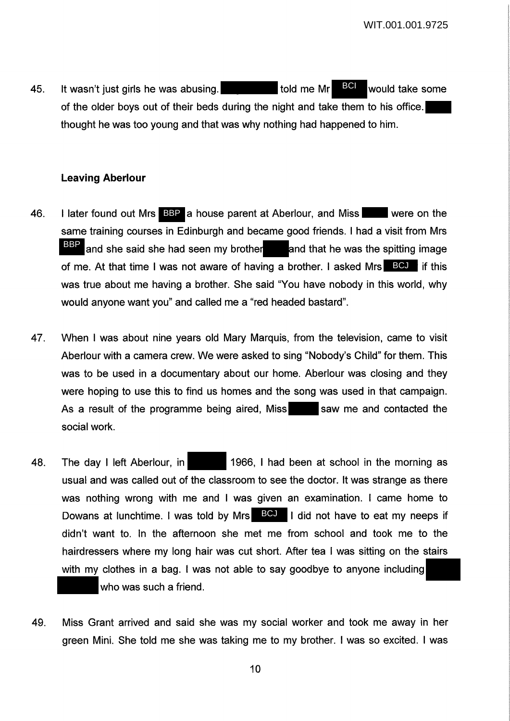45. It wasn't just girls he was abusing. The stold me Mr BU would take some of the older boys out of their beds during the night and take them to his office. thought he was too young and that was why nothing had happened to him. BCI

## **Leaving Aberlour**

- 46. I later found out Mrs BBP a house parent at Aberlour, and Miss were on the same training courses in Edinburgh and became good friends. I had a visit from Mrs and she said she had seen my brother and that he was the spitting image of me. At that time I was not aware of having a brother. I asked Mrs **BCJ** if this was true about me having a brother. She said "You have nobody in this world, why would anyone want you" and called me a "red headed bastard". BBP
- 47. When I was about nine years old Mary Marquis, from the television, came to visit Aberlour with a camera crew. We were asked to sing "Nobody's Child" for them. This was to be used in a documentary about our home. Aberlour was closing and they were hoping to use this to find us homes and the song was used in that campaign. As a result of the programme being aired, Miss saw me and contacted the social work.
- 48. The day I left Aberlour, in 1966, I had been at school in the morning as usual and was called out of the classroom to see the doctor. It was strange as there was nothing wrong with me and I was given an examination. I came home to Dowans at lunchtime. I was told by Mrs BCJ I did not have to eat my neeps if didn't want to. In the afternoon she met me from school and took me to the hairdressers where my long hair was cut short. After tea I was sitting on the stairs with my clothes in a bag. I was not able to say goodbye to anyone including who was such a friend.
- 49. Miss Grant arrived and said she was my social worker and took me away in her green Mini. She told me she was taking me to my brother. I was so excited. I was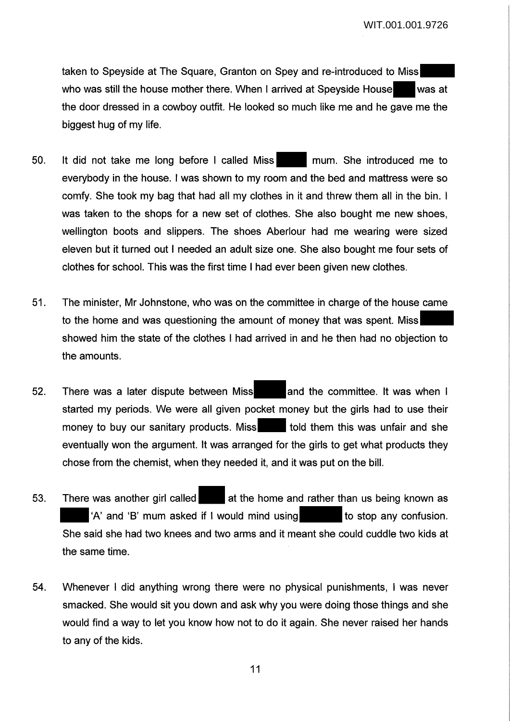taken to Speyside at The Square, Granton on Spey and re-introduced to Miss who was still the house mother there. When I arrived at Speyside House was at the door dressed in a cowboy outfit. He looked so much like me and he gave me the biggest hug of my life.

- 50. It did not take me long before I called Miss mum. She introduced me to everybody in the house. I was shown to my room and the bed and mattress were so comfy. She took my bag that had all my clothes in it and threw them all in the bin. I was taken to the shops for a new set of clothes. She also bought me new shoes, wellington boots and slippers. The shoes Aberlour had me wearing were sized eleven but it turned out I needed an adult size one. She also bought me four sets of clothes for school. This was the first time I had ever been given new clothes.
- 51. The minister, Mr Johnstone, who was on the committee in charge of the house came to the home and was questioning the amount of money that was spent. Miss showed him the state of the clothes I had arrived in and he then had no objection to the amounts.
- 52. There was a later dispute between Miss and the committee. It was when I started my periods. We were all given pocket money but the girls had to use their money to buy our sanitary products. Miss told them this was unfair and she eventually won the argument. It was arranged for the girls to get what products they chose from the chemist, when they needed it, and it was put on the bill.
- 53. There was another girl called at the home and rather than us being known as  $'A'$  and 'B' mum asked if I would mind using to stop any confusion. She said she had two knees and two arms and it meant she could cuddle two kids at the same time.
- 54. Whenever I did anything wrong there were no physical punishments, I was never smacked. She would sit you down and ask why you were doing those things and she would find a way to let you know how not to do it again. She never raised her hands to any of the kids.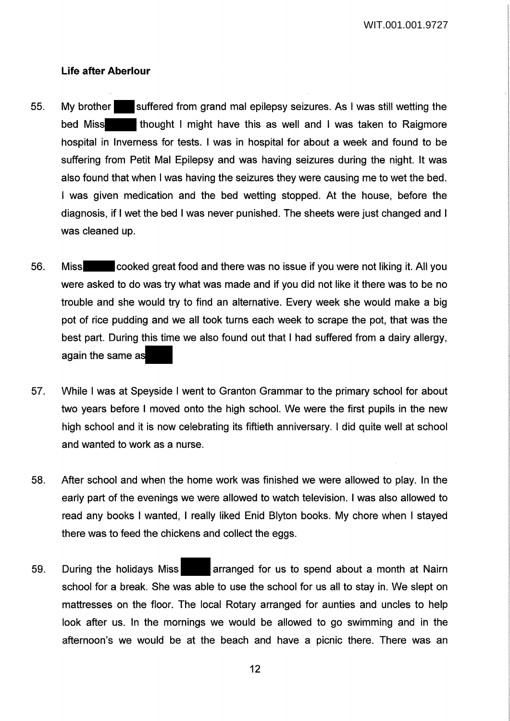### **Life after Aberlour**

- 55. My brother suffered from grand mal epilepsy seizures. As I was still wetting the bed Miss thought I might have this as well and I was taken to Raigmore hospital in Inverness for tests. I was in hospital for about a week and found to be suffering from Petit Mai Epilepsy and was having seizures during the night. It was also found that when I was having the seizures they were causing me to wet the bed. I was given medication and the bed wetting stopped. At the house, before the diagnosis, if I wet the bed I was never punished. The sheets were just changed and I was cleaned up.
- 56. Miss cooked great food and there was no issue if you were not liking it. All you were asked to do was try what was made and if you did not like it there was to be no trouble and she would try to find an alternative. Every week she would make a big pot of rice pudding and we all took turns each week to scrape the pot, that was the best part. During this time we also found out that I had suffered from a dairy allergy, again the same as
- 57. While I was at Speyside I went to Granton Grammar to the primary school for about two years before I moved onto the high school. We were the first pupils in the new high school and it is now celebrating its fiftieth anniversary. I did quite well at school and wanted to work as a nurse.
- 58. After school and when the home work was finished we were allowed to play. In the early part of the evenings we were allowed to watch television. I was also allowed to read any books I wanted, I really liked Enid Slyton books. My chore when I stayed there was to feed the chickens and collect the eggs.
- 59. During the holidays Miss **arranged for us to spend about a month at Nairn** school for a break. She was able to use the school for us all to stay in. We slept on mattresses on the floor. The local Rotary arranged for aunties and uncles to help look after us. In the mornings we would be allowed to go swimming and in the afternoon's we would be at the beach and have a picnic there. There was an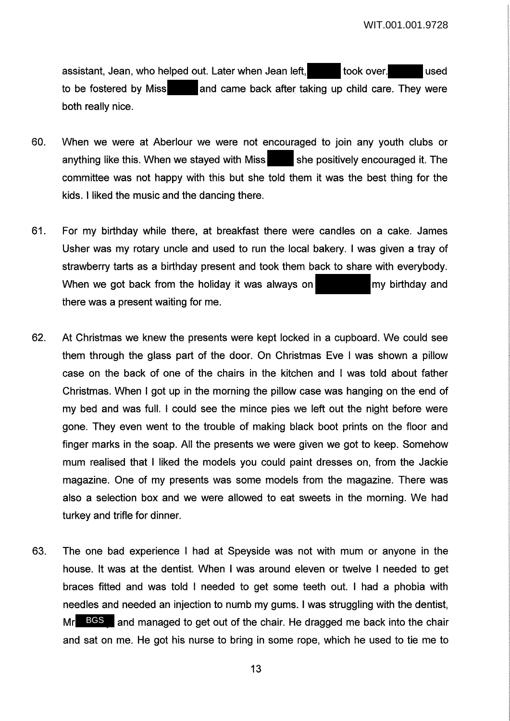assistant, Jean, who helped out. Later when Jean left, took over. The used to be fostered by Miss and came back after taking up child care. They were both really nice.

- 60. When we were at Aberlour we were not encouraged to join any youth clubs or anything like this. When we stayed with Miss she positively encouraged it. The committee was not happy with this but she told them it was the best thing for the kids. I liked the music and the dancing there.
- 61. For my birthday while there, at breakfast there were candles on a cake. James Usher was my rotary uncle and used to run the local bakery. I was given a tray of strawberry tarts as a birthday present and took them back to share with everybody. When we got back from the holiday it was always on  $\blacksquare$  my birthday and there was a present waiting for me.
- 62. At Christmas we knew the presents were kept locked in a cupboard. We could see them through the glass part of the door. On Christmas Eve I was shown a pillow case on the back of one of the chairs in the kitchen and I was told about father Christmas. When I got up in the morning the pillow case was hanging on the end of my bed and was full. I could see the mince pies we left out the night before were gone. They even went to the trouble of making black boot prints on the floor and finger marks in the soap. All the presents we were given we got to keep. Somehow mum realised that I liked the models you could paint dresses on, from the Jackie magazine. One of my presents was some models from the magazine. There was also a selection box and we were allowed to eat sweets in the morning. We had turkey and trifle for dinner.
- 63. The one bad experience I had at Speyside was not with mum or anyone in the house. It was at the dentist. When I was around eleven or twelve I needed to get braces fitted and was told I needed to get some teeth out. I had a phobia with needles and needed an injection to numb my gums. I was struggling with the dentist, Mr BGS and managed to get out of the chair. He dragged me back into the chair and sat on me. He got his nurse to bring in some rope, which he used to tie me to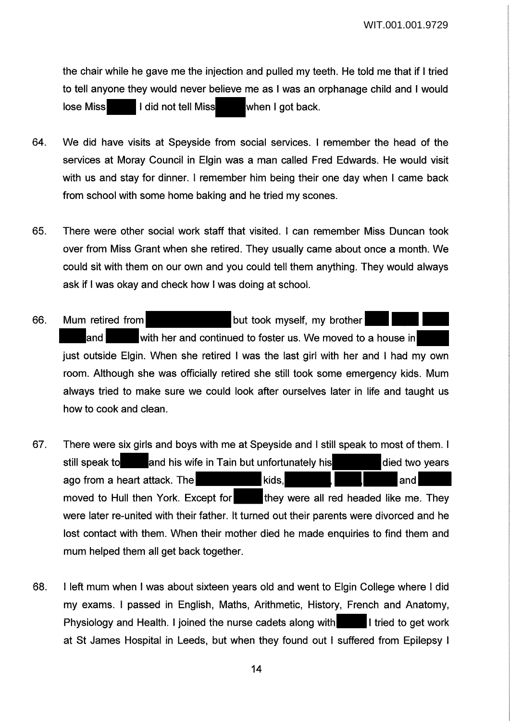the chair while he gave me the injection and pulled my teeth. He told me that if I tried to tell anyone they would never believe me as I was an orphanage child and I would lose Miss I did not tell Miss when I got back.

- 64. We did have visits at Speyside from social services. I remember the head of the services at Moray Council in Elgin was a man called Fred Edwards. He would visit with us and stay for dinner. I remember him being their one day when I came back from school with some home baking and he tried my scones.
- 65. There were other social work staff that visited. I can remember Miss Duncan took over from Miss Grant when she retired. They usually came about once a month. We could sit with them on our own and you could tell them anything. They would always ask if I was okay and check how I was doing at school.
- 66. Mum retired from but took myself, my brother and with her and continued to foster us. We moved to a house in just outside Elgin. When she retired I was the last girl with her and I had my own room. Although she was officially retired she still took some emergency kids. Mum always tried to make sure we could look after ourselves later in life and taught us how to cook and clean.
- 67. There were six girls and boys with me at Speyside and I still speak to most of them. I still speak to and his wife in Tain but unfortunately his died two years ago from a heart attack. The kids, and kids, and heart attack and kids, and heart and heart and heart and heart and heart and heart and heart and heart and heart and heart and heart and heart and heart and heart and heart moved to Hull then York. Except for they were all red headed like me. They were later re-united with their father. It turned out their parents were divorced and he lost contact with them. When their mother died he made enquiries to find them and mum helped them all get back together.
- 68. I left mum when I was about sixteen years old and went to Elgin College where I did my exams. I passed in English, Maths, Arithmetic, History, French and Anatomy, Physiology and Health. I joined the nurse cadets along with I tried to get work at St James Hospital in Leeds, but when they found out I suffered from Epilepsy I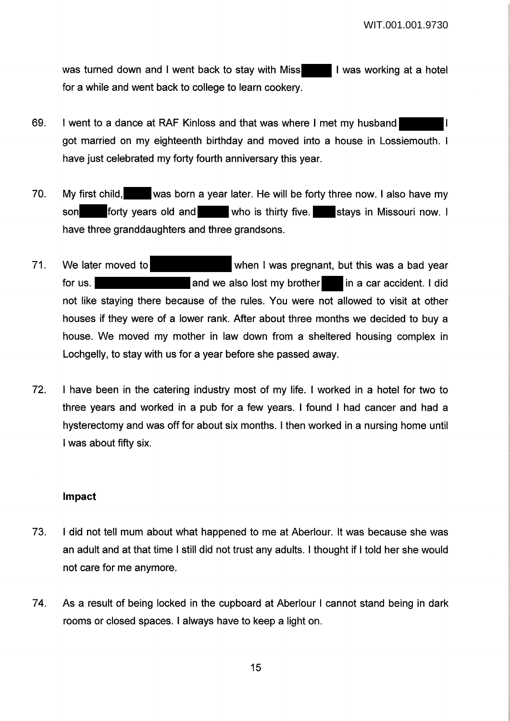was turned down and I went back to stay with Miss **I was working at a hotel** for a while and went back to college to learn cookery.

- 69. I went to a dance at RAF Kinloss and that was where I met my husband I got married on my eighteenth birthday and moved into a house in Lossiemouth. I have just celebrated my forty fourth anniversary this year.
- 70. My first child, was born a year later. He will be forty three now. I also have my son forty years old and who is thirty five. Stays in Missouri now. I have three granddaughters and three grandsons.
- 71. We later moved to when I was pregnant, but this was a bad year for us. **A** and we also lost my brother in a car accident. I did not like staying there because of the rules. You were not allowed to visit at other houses if they were of a lower rank. After about three months we decided to buy a house. We moved my mother in law down from a sheltered housing complex in Lochgelly, to stay with us for a year before she passed away.
- 72. I have been in the catering industry most of my life. I worked in a hotel for two to three years and worked in a pub for a few years. I found I had cancer and had a hysterectomy and was off for about six months. I then worked in a nursing home until I was about fifty six.

### **Impact**

- 73. I did not tell mum about what happened to me at Aberlour. It was because she was an adult and at that time I still did not trust any adults. I thought if I told her she would not care for me anymore.
- 74. As a result of being locked in the cupboard at Aberlour I cannot stand being in dark rooms or closed spaces. I always have to keep a light on.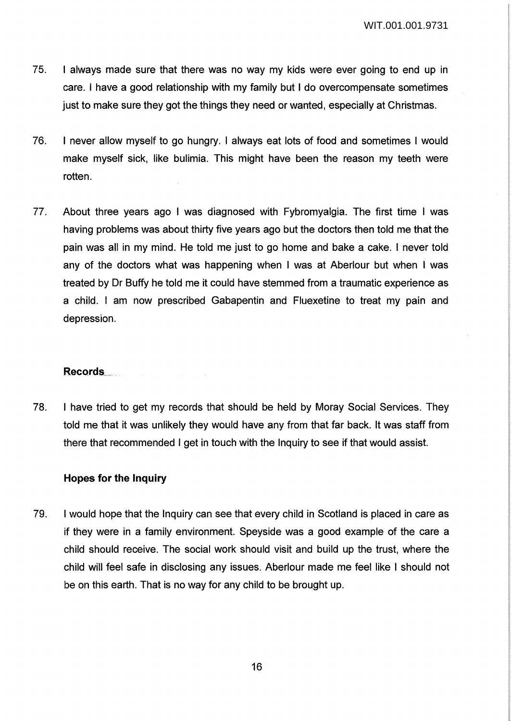- 75. I always made sure that there was no way my kids were ever going to end up in care. I have a good relationship with my family but I do overcompensate sometimes just to make sure they got the things they need or wanted, especially at Christmas.
- 76. I never allow myself to go hungry. I always eat lots of food and sometimes I would make myself sick, like bulimia. This might have been the reason my teeth were rotten.
- 77. About three years ago I was diagnosed with Fybromyalgia. The first time I was having problems was about thirty five years ago but the doctors then told me that the pain was all in my mind. He told me just to go home and bake a cake. I never told any of the doctors what was happening when I was at Aberlour but when I was treated by Dr Buffy he told me it could have stemmed from a traumatic experience as a child. I am now prescribed Gabapentin and Fluexetine to treat my pain and depression.

### **Records\_**

78. I have tried to get my records that should be held by Moray Social Services. They told me that it was unlikely they would have any from that far back. It was staff from there that recommended I get in touch with the Inquiry to see if that would assist.

## **Hopes for the Inquiry**

79. I would hope that the Inquiry can see that every child in Scotland is placed in care as if they were in a family environment. Speyside was a good example of the care a child should receive. The social work should visit and build up the trust, where the child will feel safe in disclosing any issues. Aberlour made me feel like I should not be on this earth. That is no way for any child to be brought up.